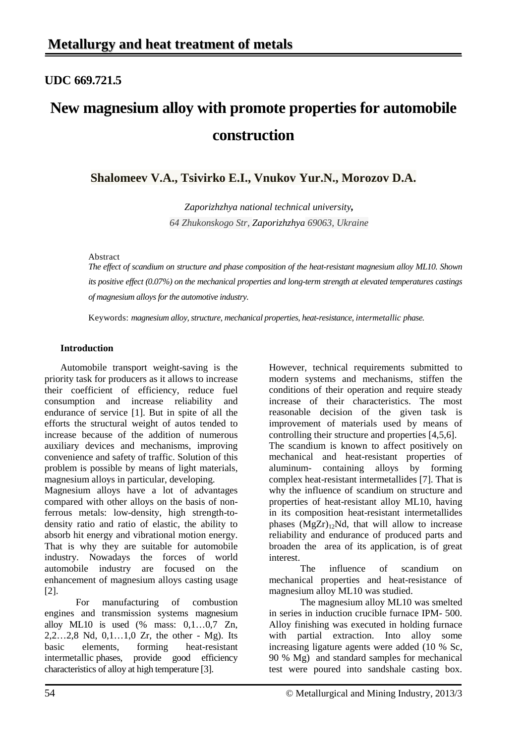# **UDC 669.721.5**

# **New magnesium alloy with promote properties for automobile construction**

**Shalomeev V.A., Tsivirko E.I., Vnukov Yur.N., Morozov D.A.**

*Zaporizhzhya national technical university, 64 Zhukonskogo Str, Zaporizhzhya 69063, Ukraine*

## Abstract

*The effect of scandium on structure and phase composition of the heat-resistant magnesium alloy ML10. Shown its positive effect (0.07%) on the mechanical properties and long-term strength at elevated temperatures castings of magnesium alloys for the automotive industry.*

Keywords: *magnesium alloy, structure, mechanical properties, heat-resistance, [intermetallic](http://www.multitran.ru/c/m.exe?t=3028680_1_2&s1=%E8%ED%F2%E5%F0%EC%E5%F2%E0%EB%EB%E8%E4%ED%FB%E5%20%E2%EA%EB%FE%F7%E5%ED%E8%FF) phase.*

# **Introduction**

Automobile transport weight-saving is the priority task for producers as it allows to increase their coefficient of efficiency, reduce fuel consumption and increase reliability and endurance of service [1]. But in spite of all the efforts the structural weight of autos tended to increase because of the addition of numerous auxiliary devices and mechanisms, improving convenience and safety of traffic. Solution of this problem is possible by means of light materials, magnesium alloys in particular, developing.

Magnesium alloys have a lot of advantages compared with other alloys on the basis of nonferrous metals: low-density, high strength-todensity ratio and ratio of elastic, the ability to absorb hit energy and vibrational motion energy. That is why they are suitable for automobile industry. Nowadays the forces of world automobile industry are focused on the enhancement of magnesium alloys casting usage [2].

For manufacturing of combustion engines and transmission systems magnesium alloy ML10 is used  $(\%$  mass:  $0,1...0,7$  Zn, 2,2…2,8 Nd, 0,1…1,0 Zr, the other - Mg). Its basic elements, forming heat-resistant [intermetallic](http://www.multitran.ru/c/m.exe?t=3028680_1_2&s1=%E8%ED%F2%E5%F0%EC%E5%F2%E0%EB%EB%E8%E4%ED%FB%E5%20%E2%EA%EB%FE%F7%E5%ED%E8%FF) phases, provide good efficiency characteristics of alloy at high temperature [3].

However, technical requirements submitted to modern systems and mechanisms, stiffen the conditions of their operation and require steady increase of their characteristics. The most reasonable decision of the given task is improvement of materials used by means of controlling their structure and properties [4,5,6]. The scandium is known to affect positively on mechanical and heat-resistant properties of aluminum- containing alloys by forming complex heat-resistant intermetallides [7]. That is why the influence of scandium on structure and properties of heat-resistant alloy ML10, having in its composition heat-resistant intermetallides phases  $(MgZr)_{12}Nd$ , that will allow to increase reliability and endurance of produced parts and broaden the area of its application, is of great interest.

The influence of scandium on mechanical properties and heat-resistance of magnesium alloy ML10 was studied.

The magnesium alloy ML10 was smelted in series in induction crucible furnace IPM- 500. Alloy finishing was executed in holding furnace with partial extraction. Into alloy some increasing ligature agents were added (10 % Sc, 90 % Mg) and standard samples for mechanical test were poured into sandshale casting box.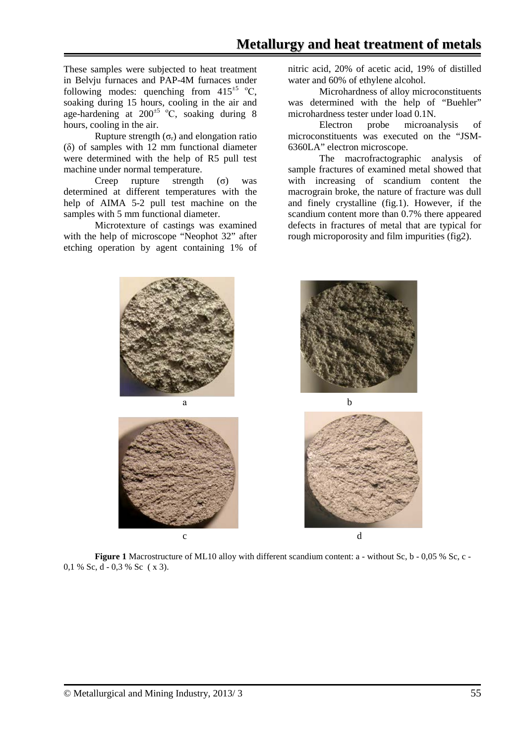These samples were subjected to heat treatment in Belvju furnaces and PAP-4M furnaces under following modes: quenching from  $415^{\pm 5}$  °C, soaking during 15 hours, cooling in the air and age-hardening at  $200^{\pm 5}$  °C, soaking during 8 hours, cooling in the air.

Rupture strength  $(\sigma_r)$  and elongation ratio (δ) of samples with 12 mm functional diameter were determined with the help of R5 pull test machine under normal temperature.

Creep rupture strength (σ) was determined at different temperatures with the help of AIMA 5-2 pull test machine on the samples with 5 mm functional diameter.

Microtexture of castings was examined with the help of microscope "Neophot 32" after etching operation by agent containing 1% of nitric acid, 20% of acetic acid, 19% of distilled water and 60% of ethylene alcohol.

Microhardness of alloy microconstituents was determined with the help of "Buehler" microhardness tester under load 0.1N.

Electron probe microanalysis of microconstituents was executed on the "JSM-6360LA" electron microscope.

The macrofractographic analysis of sample fractures of examined metal showed that with increasing of scandium content the macrograin broke, the nature of fracture was dull and finely crystalline (fig.1). However, if the scandium content more than 0.7% there appeared defects in fractures of metal that are typical for rough microporosity and film impurities (fig2).



**Figure 1** Macrostructure of ML10 alloy with different scandium content: a - without Sc, b - 0,05 % Sc, c -0.1 % Sc, d - 0.3 % Sc ( x 3).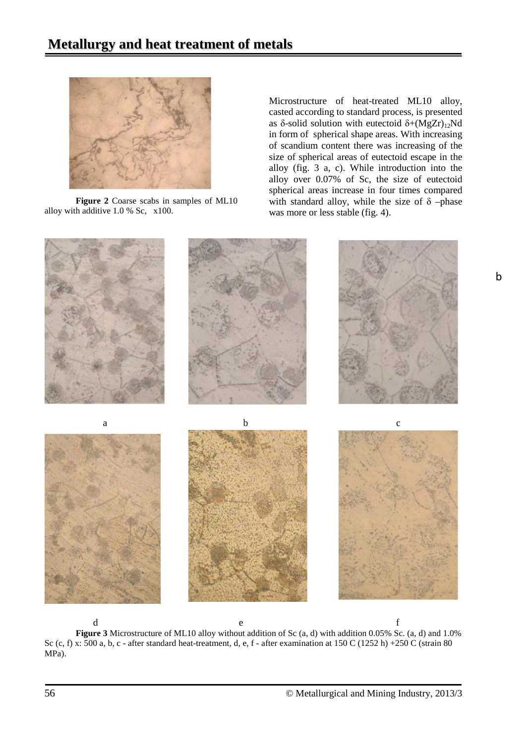

**Figure 2** Coarse scabs in samples of ML10 alloy with additive 1.0 % Sc, х100.

Microstructure of heat-treated ML10 alloy, casted according to standard process, is presented as δ-solid solution with eutectoid  $δ+(MgZr)_{12}Nd$ in form of spherical shape areas. With increasing of scandium content there was increasing of the size of spherical areas of eutectoid escape in the alloy (fig. 3 a, c). While introduction into the alloy over 0.07% of Sc, the size of eutectoid spherical areas increase in four times compared with standard alloy, while the size of  $\delta$  –phase was more or less stable (fig. 4).



d e f **Figure 3** Microstructure of ML10 alloy without addition of Sc (a, d) with addition 0.05% Sc. (a, d) and 1.0% Sc (c, f) x: 500 a, b, c - after standard heat-treatment, d, e, f - after examination at 150 C (1252 h) +250 C (strain 80 MPa).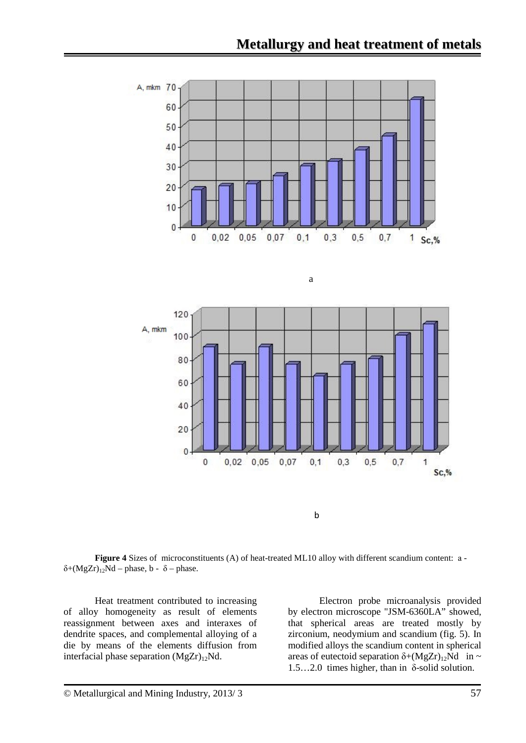

<u>a a shekara ta 1979 a shekara ta 1979 a shekara ta 1971 a 1972 a shekara ta 1972 a 1972 a 1972 a 1972 a 1972 </u>



**Figure 4** Sizes of microconstituents (A) of heat-treated ML10 alloy with different scandium content: а δ+(MgZr)<sub>12</sub>Nd – phase, b - δ – phase.

Heat treatment contributed to increasing of alloy homogeneity as result of elements reassignment between axes and interaxes of dendrite spaces, and complemental alloying of a die by means of the elements diffusion from interfacial phase separation  $(MgZr)_{12}Nd$ .

Electron probe microanalysis provided by electron microscope "JSM-6360LA" showed, that spherical areas are treated mostly by zirconium, neodymium and scandium (fig. 5). In modified alloys the scandium content in spherical areas of eutectoid separation  $\delta + (MgZr)_{12}Nd$  in ~ 1.5…2.0 times higher, than in  $\delta$ -solid solution.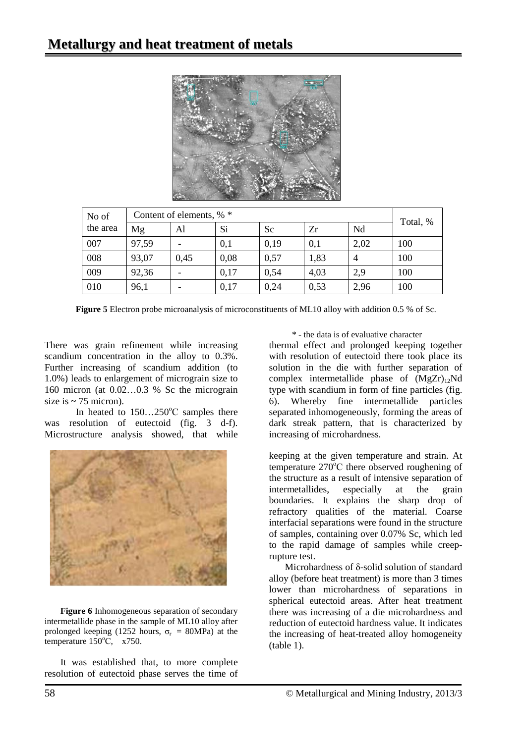

| No of    | Content of elements, % * |      |      |      |      |      |          |
|----------|--------------------------|------|------|------|------|------|----------|
| the area | Mg                       | Al   | Si   | Sc   | Zr   | Nd   | Total, % |
| 007      | 97,59                    |      | 0,1  | 0,19 | 0,1  | 2,02 | 100      |
| 008      | 93,07                    | 0,45 | 0,08 | 0,57 | 1,83 | 4    | 100      |
| 009      | 92,36                    |      | 0,17 | 0,54 | 4,03 | 2,9  | 100      |
| 010      | 96,1                     |      | 0,17 | 0,24 | 0,53 | 2,96 | 100      |

**Figure 5** Electron probe microanalysis of microconstituents of ML10 alloy with addition 0.5 % of Sc.

There was grain refinement while increasing scandium concentration in the alloy to 0.3%. Further increasing of scandium addition (to 1.0%) leads to enlargement of micrograin size to 160 micron (at 0.02…0.3 % Sc the micrograin size is  $\sim$  75 micron).

In heated to  $150...250^{\circ}$ C samples there was resolution of eutectoid (fig. 3 d-f). Microstructure analysis showed, that while



**Figure 6** Inhomogeneous separation of secondary intermetallide phase in the sample of ML10 alloy after prolonged keeping (1252 hours,  $\sigma_r$  = 80MPa) at the temperature 150°C, x750.

It was established that, to more complete resolution of eutectoid phase serves the time of \* - the data is of evaluative character

thermal effect and prolonged keeping together with resolution of eutectoid there took place its solution in the die with further separation of complex intermetallide phase of  $(MgZr)_{12}Nd$ type with scandium in form of fine particles (fig. 6). Whereby fine intermetallide particles separated inhomogeneously, forming the areas of dark streak pattern, that is characterized by increasing of microhardness.

keeping at the given temperature and strain. At temperature 270°C there observed roughening of the structure as a result of intensive separation of intermetallides, especially at the grain boundaries. It explains the sharp drop of refractory qualities of the material. Coarse interfacial separations were found in the structure of samples, containing over 0.07% Sc, which led to the rapid damage of samples while creeprupture test.

Microhardness of δ-solid solution of standard alloy (before heat treatment) is more than 3 times lower than microhardness of separations in spherical eutectoid areas. After heat treatment there was increasing of a die microhardness and reduction of eutectoid hardness value. It indicates the increasing of heat-treated alloy homogeneity (table 1).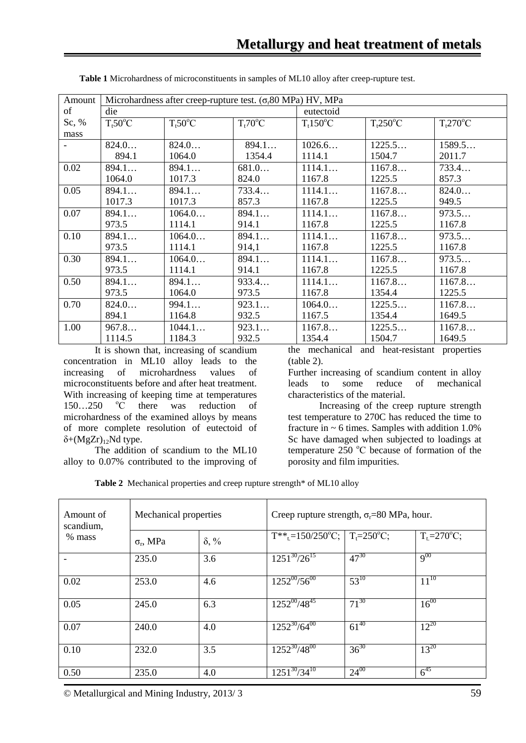| Amount | Microhardness after creep-rupture test. $(\sigma$ -80 MPa) HV, MPa |                             |                         |                        |            |                        |
|--------|--------------------------------------------------------------------|-----------------------------|-------------------------|------------------------|------------|------------------------|
| of     | die                                                                |                             |                         | eutectoid              |            |                        |
| Sc, %  | T <sub>t</sub> 50 <sup>o</sup> C                                   | $T_t 50^\circ \overline{C}$ | $T_t 70$ <sup>o</sup> C | $Tt150$ <sup>o</sup> C | $Tt250$ °C | $Tt270$ <sup>o</sup> C |
| mass   |                                                                    |                             |                         |                        |            |                        |
|        | 824.0                                                              | 824.0                       | 894.1                   | 1026.6                 | 1225.5     | 1589.5                 |
|        | 894.1                                                              | 1064.0                      | 1354.4                  | 1114.1                 | 1504.7     | 2011.7                 |
| 0.02   | 894.1                                                              | 894.1                       | 681.0                   | 1114.1                 | 1167.8     | 733.4                  |
|        | 1064.0                                                             | 1017.3                      | 824.0                   | 1167.8                 | 1225.5     | 857.3                  |
| 0.05   | 894.1                                                              | 894.1                       | 733.4                   | 1114.1                 | 1167.8     | 824.0                  |
|        | 1017.3                                                             | 1017.3                      | 857.3                   | 1167.8                 | 1225.5     | 949.5                  |
| 0.07   | 894.1                                                              | 1064.0                      | 894.1                   | 1114.1                 | 1167.8     | 973.5                  |
|        | 973.5                                                              | 1114.1                      | 914.1                   | 1167.8                 | 1225.5     | 1167.8                 |
| 0.10   | 894.1                                                              | 1064.0                      | 894.1                   | 1114.1                 | 1167.8     | 973.5                  |
|        | 973.5                                                              | 1114.1                      | 914,1                   | 1167.8                 | 1225.5     | 1167.8                 |
| 0.30   | 894.1                                                              | 1064.0                      | 894.1                   | 1114.1                 | 1167.8     | 973.5                  |
|        | 973.5                                                              | 1114.1                      | 914.1                   | 1167.8                 | 1225.5     | 1167.8                 |
| 0.50   | 894.1                                                              | 894.1                       | 933.4                   | 1114.1                 | 1167.8     | 1167.8                 |
|        | 973.5                                                              | 1064.0                      | 973.5                   | 1167.8                 | 1354.4     | 1225.5                 |
| 0.70   | 824.0                                                              | 994.1                       | 923.1                   | 1064.0                 | 1225.5     | 1167.8                 |
|        | 894.1                                                              | 1164.8                      | 932.5                   | 1167.5                 | 1354.4     | 1649.5                 |
| 1.00   | 967.8                                                              | 1044.1                      | 923.1                   | 1167.8                 | 1225.5     | 1167.8                 |
|        | 1114.5                                                             | 1184.3                      | 932.5                   | 1354.4                 | 1504.7     | 1649.5                 |

**Table 1** Microhardness of microconstituents in samples of ML10 alloy after creep-rupture test.

It is shown that, increasing of scandium concentration in ML10 alloy leads to the increasing of microhardness values of microconstituents before and after heat treatment. With increasing of keeping time at temperatures  $150...250$  °C there was reduction of microhardness of the examined alloys by means of more complete resolution of eutectoid of  $\delta$ +(MgZr)<sub>12</sub>Nd type.

The addition of scandium to the ML10 alloy to 0.07% contributed to the improving of the mechanical and heat-resistant properties (table 2).

Further increasing of scandium content in alloy leads to some reduce of mechanical characteristics of the material.

Increasing of the creep rupture strength test temperature to 270C has reduced the time to fracture in  $\sim$  6 times. Samples with addition 1.0% Sc have damaged when subjected to loadings at temperature 250 °C because of formation of the porosity and film impurities.

Table 2 Mechanical properties and creep rupture strength<sup>\*</sup> of ML10 alloy

| Amount of<br>scandium, | Mechanical properties |              | Creep rupture strength, $\sigma_r = 80$ MPa, hour.                                   |           |                 |  |
|------------------------|-----------------------|--------------|--------------------------------------------------------------------------------------|-----------|-----------------|--|
| % mass                 | $\sigma_r$ , MPa      | $\delta$ , % | $T^{**}$ <sub>t</sub> =150/250 <sup>o</sup> C;   T <sub>t</sub> =250 <sup>o</sup> C; |           | $T_t = 270$ °C; |  |
|                        | 235.0                 | 3.6          | $1251^{30}/26^{15}$                                                                  | $47^{30}$ | $9^{00}$        |  |
| 0.02                   | 253.0                 | 4.6          | $1252^{00}/56^{00}$                                                                  | $53^{10}$ | $11^{10}$       |  |
| 0.05                   | 245.0                 | 6.3          | $1252^{00}/48^{45}$                                                                  | $71^{30}$ | $16^{00}$       |  |
| 0.07                   | 240.0                 | 4.0          | $1252^{30}/64^{00}$                                                                  | $61^{40}$ | $12^{20}$       |  |
| 0.10                   | 232.0                 | 3.5          | $1252^{30}/48^{00}$                                                                  | $36^{30}$ | $13^{20}$       |  |
| 0.50                   | 235.0                 | 4.0          | $1251^{30}/34^{10}$                                                                  | $24^{00}$ | $6^{45}$        |  |

© Metallurgical and Mining Industry, 2013/ 3 59